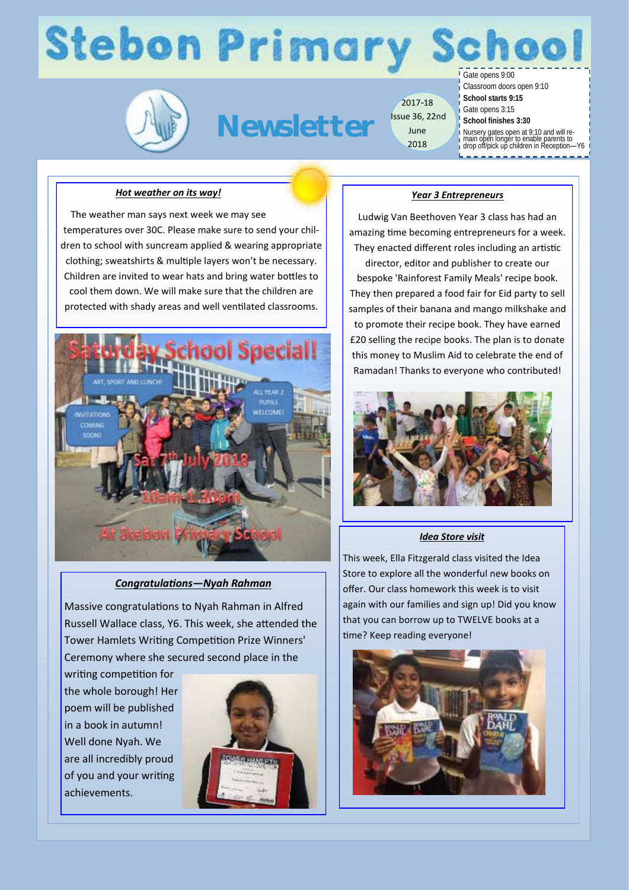# **Stebon Primary S**

**Newsletter**

2017-18 Issue 36, 22nd June 2018

Gate opens 9:00

Classroom doors open 9:10

- **School starts 9:15**
- Gate opens 3:15
- **School finishes 3:30**
- Nursery gates open at 9:10 and will re-main open longer to enable parents to drop off/pick up children in Reception—Y6
- 

#### *Hot weather on its way!*

The weather man says next week we may see temperatures over 30C. Please make sure to send your children to school with suncream applied & wearing appropriate clothing; sweatshirts & multiple layers won't be necessary. Children are invited to wear hats and bring water bottles to cool them down. We will make sure that the children are protected with shady areas and well ventilated classrooms.



### *Congratulations—Nyah Rahman*

Massive congratulations to Nyah Rahman in Alfred Russell Wallace class, Y6. This week, she attended the Tower Hamlets Writing Competition Prize Winners' Ceremony where she secured second place in the

writing competition for the whole borough! Her poem will be published in a book in autumn! Well done Nyah. We are all incredibly proud of you and your writing achievements.



#### *Year 3 Entrepreneurs*

Ludwig Van Beethoven Year 3 class has had an amazing time becoming entrepreneurs for a week. They enacted different roles including an artistic

director, editor and publisher to create our bespoke 'Rainforest Family Meals' recipe book. They then prepared a food fair for Eid party to sell samples of their banana and mango milkshake and to promote their recipe book. They have earned £20 selling the recipe books. The plan is to donate this money to Muslim Aid to celebrate the end of Ramadan! Thanks to everyone who contributed!



#### *Idea Store visit*

This week, Ella Fitzgerald class visited the Idea Store to explore all the wonderful new books on offer. Our class homework this week is to visit again with our families and sign up! Did you know that you can borrow up to TWELVE books at a time? Keep reading everyone!